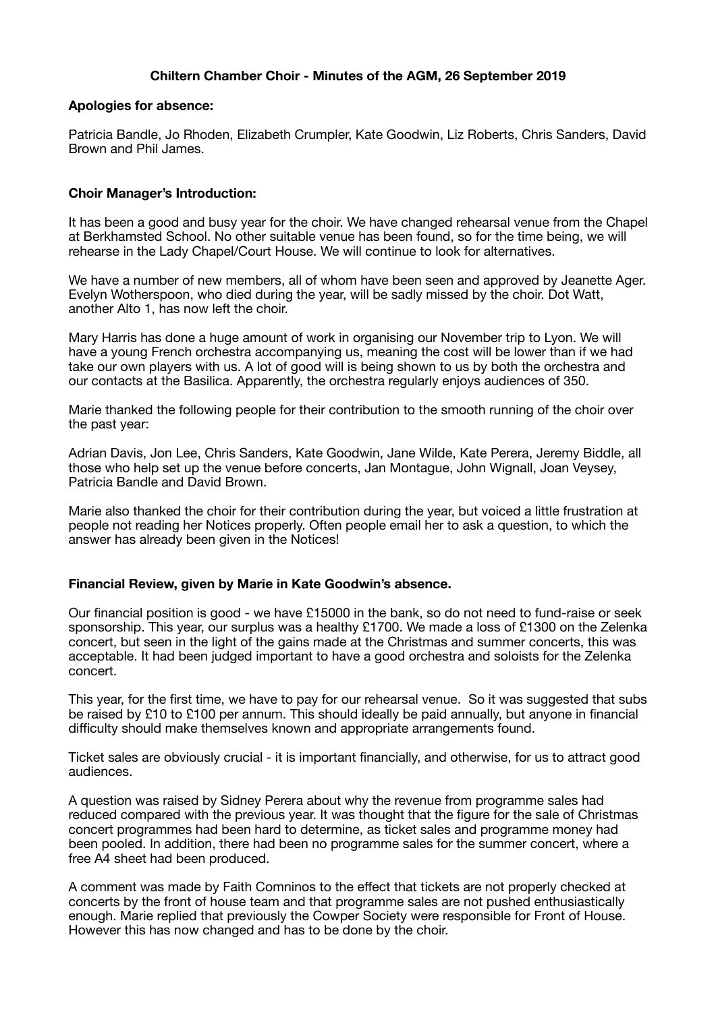# **Chiltern Chamber Choir - Minutes of the AGM, 26 September 2019**

#### **Apologies for absence:**

Patricia Bandle, Jo Rhoden, Elizabeth Crumpler, Kate Goodwin, Liz Roberts, Chris Sanders, David Brown and Phil James.

### **Choir Manager's Introduction:**

It has been a good and busy year for the choir. We have changed rehearsal venue from the Chapel at Berkhamsted School. No other suitable venue has been found, so for the time being, we will rehearse in the Lady Chapel/Court House. We will continue to look for alternatives.

We have a number of new members, all of whom have been seen and approved by Jeanette Ager. Evelyn Wotherspoon, who died during the year, will be sadly missed by the choir. Dot Watt, another Alto 1, has now left the choir.

Mary Harris has done a huge amount of work in organising our November trip to Lyon. We will have a young French orchestra accompanying us, meaning the cost will be lower than if we had take our own players with us. A lot of good will is being shown to us by both the orchestra and our contacts at the Basilica. Apparently, the orchestra regularly enjoys audiences of 350.

Marie thanked the following people for their contribution to the smooth running of the choir over the past year:

Adrian Davis, Jon Lee, Chris Sanders, Kate Goodwin, Jane Wilde, Kate Perera, Jeremy Biddle, all those who help set up the venue before concerts, Jan Montague, John Wignall, Joan Veysey, Patricia Bandle and David Brown.

Marie also thanked the choir for their contribution during the year, but voiced a little frustration at people not reading her Notices properly. Often people email her to ask a question, to which the answer has already been given in the Notices!

#### **Financial Review, given by Marie in Kate Goodwin's absence.**

Our financial position is good - we have £15000 in the bank, so do not need to fund-raise or seek sponsorship. This year, our surplus was a healthy £1700. We made a loss of £1300 on the Zelenka concert, but seen in the light of the gains made at the Christmas and summer concerts, this was acceptable. It had been judged important to have a good orchestra and soloists for the Zelenka concert.

This year, for the first time, we have to pay for our rehearsal venue. So it was suggested that subs be raised by £10 to £100 per annum. This should ideally be paid annually, but anyone in financial difficulty should make themselves known and appropriate arrangements found.

Ticket sales are obviously crucial - it is important financially, and otherwise, for us to attract good audiences.

A question was raised by Sidney Perera about why the revenue from programme sales had reduced compared with the previous year. It was thought that the figure for the sale of Christmas concert programmes had been hard to determine, as ticket sales and programme money had been pooled. In addition, there had been no programme sales for the summer concert, where a free A4 sheet had been produced.

A comment was made by Faith Comninos to the effect that tickets are not properly checked at concerts by the front of house team and that programme sales are not pushed enthusiastically enough. Marie replied that previously the Cowper Society were responsible for Front of House. However this has now changed and has to be done by the choir.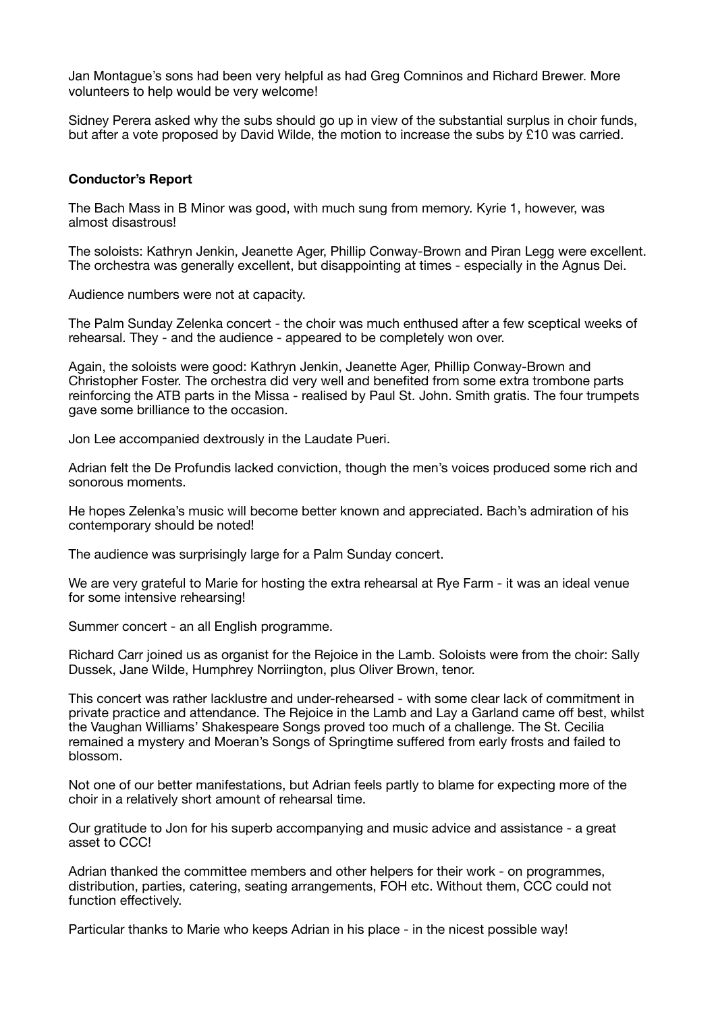Jan Montague's sons had been very helpful as had Greg Comninos and Richard Brewer. More volunteers to help would be very welcome!

Sidney Perera asked why the subs should go up in view of the substantial surplus in choir funds, but after a vote proposed by David Wilde, the motion to increase the subs by £10 was carried.

#### **Conductor's Report**

The Bach Mass in B Minor was good, with much sung from memory. Kyrie 1, however, was almost disastrous!

The soloists: Kathryn Jenkin, Jeanette Ager, Phillip Conway-Brown and Piran Legg were excellent. The orchestra was generally excellent, but disappointing at times - especially in the Agnus Dei.

Audience numbers were not at capacity.

The Palm Sunday Zelenka concert - the choir was much enthused after a few sceptical weeks of rehearsal. They - and the audience - appeared to be completely won over.

Again, the soloists were good: Kathryn Jenkin, Jeanette Ager, Phillip Conway-Brown and Christopher Foster. The orchestra did very well and benefited from some extra trombone parts reinforcing the ATB parts in the Missa - realised by Paul St. John. Smith gratis. The four trumpets gave some brilliance to the occasion.

Jon Lee accompanied dextrously in the Laudate Pueri.

Adrian felt the De Profundis lacked conviction, though the men's voices produced some rich and sonorous moments.

He hopes Zelenka's music will become better known and appreciated. Bach's admiration of his contemporary should be noted!

The audience was surprisingly large for a Palm Sunday concert.

We are very grateful to Marie for hosting the extra rehearsal at Rye Farm - it was an ideal venue for some intensive rehearsing!

Summer concert - an all English programme.

Richard Carr joined us as organist for the Rejoice in the Lamb. Soloists were from the choir: Sally Dussek, Jane Wilde, Humphrey Norriington, plus Oliver Brown, tenor.

This concert was rather lacklustre and under-rehearsed - with some clear lack of commitment in private practice and attendance. The Rejoice in the Lamb and Lay a Garland came off best, whilst the Vaughan Williams' Shakespeare Songs proved too much of a challenge. The St. Cecilia remained a mystery and Moeran's Songs of Springtime suffered from early frosts and failed to blossom.

Not one of our better manifestations, but Adrian feels partly to blame for expecting more of the choir in a relatively short amount of rehearsal time.

Our gratitude to Jon for his superb accompanying and music advice and assistance - a great asset to CCC!

Adrian thanked the committee members and other helpers for their work - on programmes, distribution, parties, catering, seating arrangements, FOH etc. Without them, CCC could not function effectively.

Particular thanks to Marie who keeps Adrian in his place - in the nicest possible way!